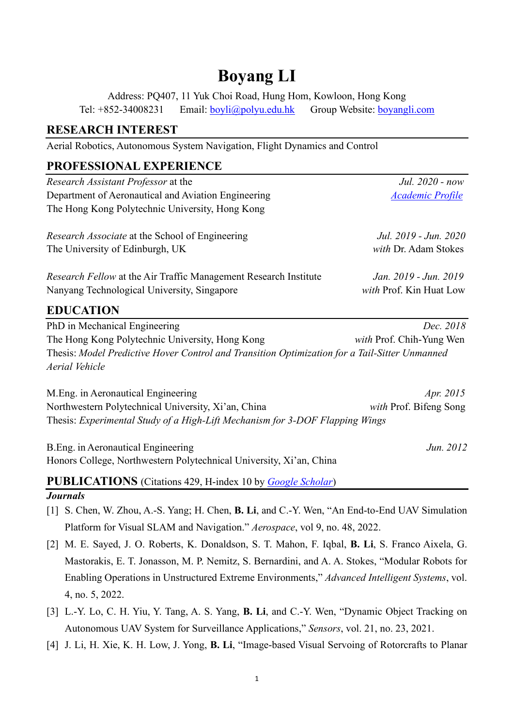# **Boyang LI**

Address: PQ407, 11 Yuk Choi Road, Hung Hom, Kowloon, Hong Kong Tel: +852-34008231 Email: [boyli@polyu.edu.hk](mailto:boyli@polyu.edu.hk) Group Website: [boyangli.com](https://boyangli.com/)

# **RESEARCH INTEREST**

Aerial Robotics, Autonomous System Navigation, Flight Dynamics and Control

# **PROFESSIONAL EXPERIENCE**

| Research Assistant Professor at the                                                           | Jul. 2020 - now          |
|-----------------------------------------------------------------------------------------------|--------------------------|
| Department of Aeronautical and Aviation Engineering                                           | <b>Academic Profile</b>  |
| The Hong Kong Polytechnic University, Hong Kong                                               |                          |
| <i>Research Associate</i> at the School of Engineering                                        | Jul. 2019 - Jun. 2020    |
| The University of Edinburgh, UK                                                               | with Dr. Adam Stokes     |
| Research Fellow at the Air Traffic Management Research Institute                              | Jan. 2019 - Jun. 2019    |
| Nanyang Technological University, Singapore                                                   | with Prof. Kin Huat Low  |
| <b>EDUCATION</b>                                                                              |                          |
| PhD in Mechanical Engineering                                                                 | Dec. 2018                |
| The Hong Kong Polytechnic University, Hong Kong                                               | with Prof. Chih-Yung Wen |
| Thesis: Model Predictive Hover Control and Transition Optimization for a Tail-Sitter Unmanned |                          |
| Aerial Vehicle                                                                                |                          |
| M. Eng. in Aeronautical Engineering                                                           | Apr. 2015                |
| Northwestern Polytechnical University, Xi'an, China                                           | with Prof. Bifeng Song   |
| Thesis: Experimental Study of a High-Lift Mechanism for 3-DOF Flapping Wings                  |                          |
| B. Eng. in Aeronautical Engineering                                                           | Jun. 2012                |
| Honors College, Northwestern Polytechnical University, Xi'an, China                           |                          |

**PUBLICATIONS** (Citations 429, H-index 10 by *[Google Scholar](https://scholar.google.com.hk/citations?hl=en&user=a-W1DTIAAAAJ)*)

## *Journals*

- [1] S. Chen, W. Zhou, A.-S. Yang; H. Chen, **B. Li**, and C.-Y. Wen, "An End-to-End UAV Simulation Platform for Visual SLAM and Navigation." *Aerospace*, vol 9, no. 48, 2022.
- [2] M. E. Sayed, J. O. Roberts, K. Donaldson, S. T. Mahon, F. Iqbal, **B. Li**, S. Franco Aixela, G. Mastorakis, E. T. Jonasson, M. P. Nemitz, S. Bernardini, and A. A. Stokes, "Modular Robots for Enabling Operations in Unstructured Extreme Environments," *Advanced Intelligent Systems*, vol. 4, no. 5, 2022.
- [3] L.-Y. Lo, C. H. Yiu, Y. Tang, A. S. Yang, **B. Li**, and C.-Y. Wen, "Dynamic Object Tracking on Autonomous UAV System for Surveillance Applications," *Sensors*, vol. 21, no. 23, 2021.
- [4] J. Li, H. Xie, K. H. Low, J. Yong, **B. Li**, "Image-based Visual Servoing of Rotorcrafts to Planar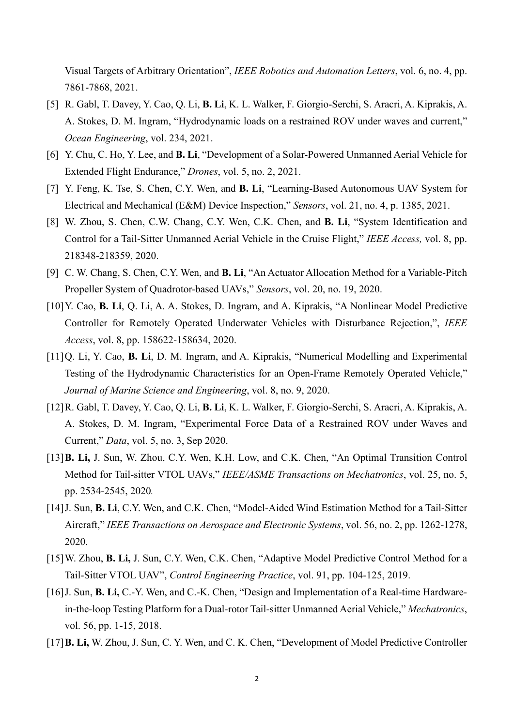Visual Targets of Arbitrary Orientation", *IEEE Robotics and Automation Letters*, vol. 6, no. 4, pp. 7861-7868, 2021.

- [5] R. Gabl, T. Davey, Y. Cao, Q. Li, **B. Li**, K. L. Walker, F. Giorgio-Serchi, S. Aracri, A. Kiprakis, A. A. Stokes, D. M. Ingram, "Hydrodynamic loads on a restrained ROV under waves and current," *Ocean Engineering*, vol. 234, 2021.
- [6] Y. Chu, C. Ho, Y. Lee, and **B. Li**, "Development of a Solar-Powered Unmanned Aerial Vehicle for Extended Flight Endurance," *Drones*, vol. 5, no. 2, 2021.
- [7] Y. Feng, K. Tse, S. Chen, C.Y. Wen, and **B. Li**, "Learning-Based Autonomous UAV System for Electrical and Mechanical (E&M) Device Inspection," *Sensors*, vol. 21, no. 4, p. 1385, 2021.
- [8] W. Zhou, S. Chen, C.W. Chang, C.Y. Wen, C.K. Chen, and **B. Li**, "System Identification and Control for a Tail-Sitter Unmanned Aerial Vehicle in the Cruise Flight," *IEEE Access,* vol. 8, pp. 218348-218359, 2020.
- [9] C. W. Chang, S. Chen, C.Y. Wen, and **B. Li**, "An Actuator Allocation Method for a Variable-Pitch Propeller System of Quadrotor-based UAVs," *Sensors*, vol. 20, no. 19, 2020.
- [10]Y. Cao, **B. Li**, Q. Li, A. A. Stokes, D. Ingram, and A. Kiprakis, "A Nonlinear Model Predictive Controller for Remotely Operated Underwater Vehicles with Disturbance Rejection,", *IEEE Access*, vol. 8, pp. 158622-158634, 2020.
- [11]Q. Li, Y. Cao, **B. Li**, D. M. Ingram, and A. Kiprakis, "Numerical Modelling and Experimental Testing of the Hydrodynamic Characteristics for an Open-Frame Remotely Operated Vehicle," *Journal of Marine Science and Engineering*, vol. 8, no. 9, 2020.
- [12]R. Gabl, T. Davey, Y. Cao, Q. Li, **B. Li**, K. L. Walker, F. Giorgio-Serchi, S. Aracri, A. Kiprakis, A. A. Stokes, D. M. Ingram, "Experimental Force Data of a Restrained ROV under Waves and Current," *Data*, vol. 5, no. 3, Sep 2020.
- [13]**B. Li,** J. Sun, W. Zhou, C.Y. Wen, K.H. Low, and C.K. Chen, "An Optimal Transition Control Method for Tail-sitter VTOL UAVs," *IEEE/ASME Transactions on Mechatronics*, vol. 25, no. 5, pp. 2534-2545, 2020*.*
- [14]J. Sun, **B. Li**, C.Y. Wen, and C.K. Chen, "Model-Aided Wind Estimation Method for a Tail-Sitter Aircraft," *IEEE Transactions on Aerospace and Electronic Systems*, vol. 56, no. 2, pp. 1262-1278, 2020.
- [15]W. Zhou, **B. Li,** J. Sun, C.Y. Wen, C.K. Chen, "Adaptive Model Predictive Control Method for a Tail-Sitter VTOL UAV", *Control Engineering Practice*, vol. 91, pp. 104-125, 2019.
- [16]J. Sun, **B. Li,** C.-Y. Wen, and C.-K. Chen, "Design and Implementation of a Real-time Hardwarein-the-loop Testing Platform for a Dual-rotor Tail-sitter Unmanned Aerial Vehicle," *Mechatronics*, vol. 56, pp. 1-15, 2018.
- [17]**B. Li,** W. Zhou, J. Sun, C. Y. Wen, and C. K. Chen, "Development of Model Predictive Controller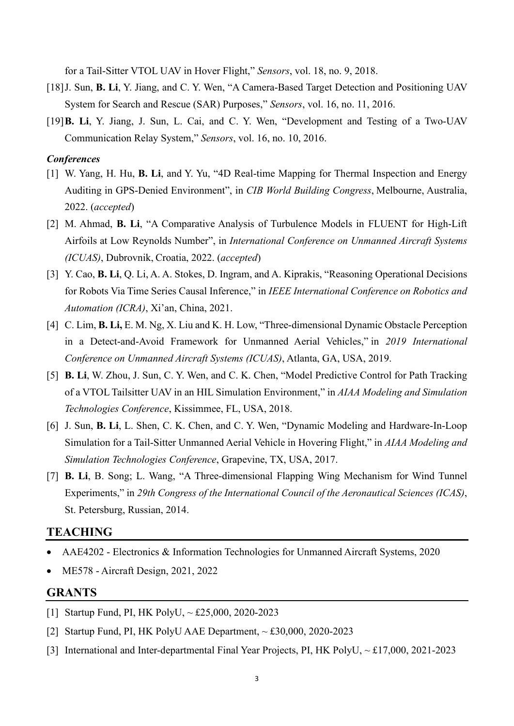for a Tail-Sitter VTOL UAV in Hover Flight," *Sensors*, vol. 18, no. 9, 2018.

- [18]J. Sun, **B. Li**, Y. Jiang, and C. Y. Wen, "A Camera-Based Target Detection and Positioning UAV System for Search and Rescue (SAR) Purposes," *Sensors*, vol. 16, no. 11, 2016.
- [19]**B. Li**, Y. Jiang, J. Sun, L. Cai, and C. Y. Wen, "Development and Testing of a Two-UAV Communication Relay System," *Sensors*, vol. 16, no. 10, 2016.

#### *Conferences*

- [1] W. Yang, H. Hu, **B. Li**, and Y. Yu, "4D Real-time Mapping for Thermal Inspection and Energy Auditing in GPS-Denied Environment", in *CIB World Building Congress*, Melbourne, Australia, 2022. (*accepted*)
- [2] M. Ahmad, **B. Li**, "A Comparative Analysis of Turbulence Models in FLUENT for High-Lift Airfoils at Low Reynolds Number", in *International Conference on Unmanned Aircraft Systems (ICUAS)*, Dubrovnik, Croatia, 2022. (*accepted*)
- [3] Y. Cao, **B. Li**, Q. Li, A. A. Stokes, D. Ingram, and A. Kiprakis, "Reasoning Operational Decisions for Robots Via Time Series Causal Inference," in *IEEE International Conference on Robotics and Automation (ICRA)*, Xi'an, China, 2021.
- [4] C. Lim, **B. Li,** E. M. Ng, X. Liu and K. H. Low, "Three-dimensional Dynamic Obstacle Perception in a Detect-and-Avoid Framework for Unmanned Aerial Vehicles," in *2019 International Conference on Unmanned Aircraft Systems (ICUAS)*, Atlanta, GA, USA, 2019.
- [5] **B. Li**, W. Zhou, J. Sun, C. Y. Wen, and C. K. Chen, "Model Predictive Control for Path Tracking of a VTOL Tailsitter UAV in an HIL Simulation Environment," in *AIAA Modeling and Simulation Technologies Conference*, Kissimmee, FL, USA, 2018.
- [6] J. Sun, **B. Li**, L. Shen, C. K. Chen, and C. Y. Wen, "Dynamic Modeling and Hardware-In-Loop Simulation for a Tail-Sitter Unmanned Aerial Vehicle in Hovering Flight," in *AIAA Modeling and Simulation Technologies Conference*, Grapevine, TX, USA, 2017.
- [7] **B. Li**, B. Song; L. Wang, "A Three-dimensional Flapping Wing Mechanism for Wind Tunnel Experiments," in *29th Congress of the International Council of the Aeronautical Sciences (ICAS)*, St. Petersburg, Russian, 2014.

## **TEACHING**

- AAE4202 Electronics & Information Technologies for Unmanned Aircraft Systems, 2020
- ME578 Aircraft Design, 2021, 2022

#### **GRANTS**

- [1] Startup Fund, PI, HK PolyU, ~ £25,000, 2020-2023
- [2] Startup Fund, PI, HK PolyU AAE Department, ~ £30,000, 2020-2023
- [3] International and Inter-departmental Final Year Projects, PI, HK PolyU, ~ £17,000, 2021-2023